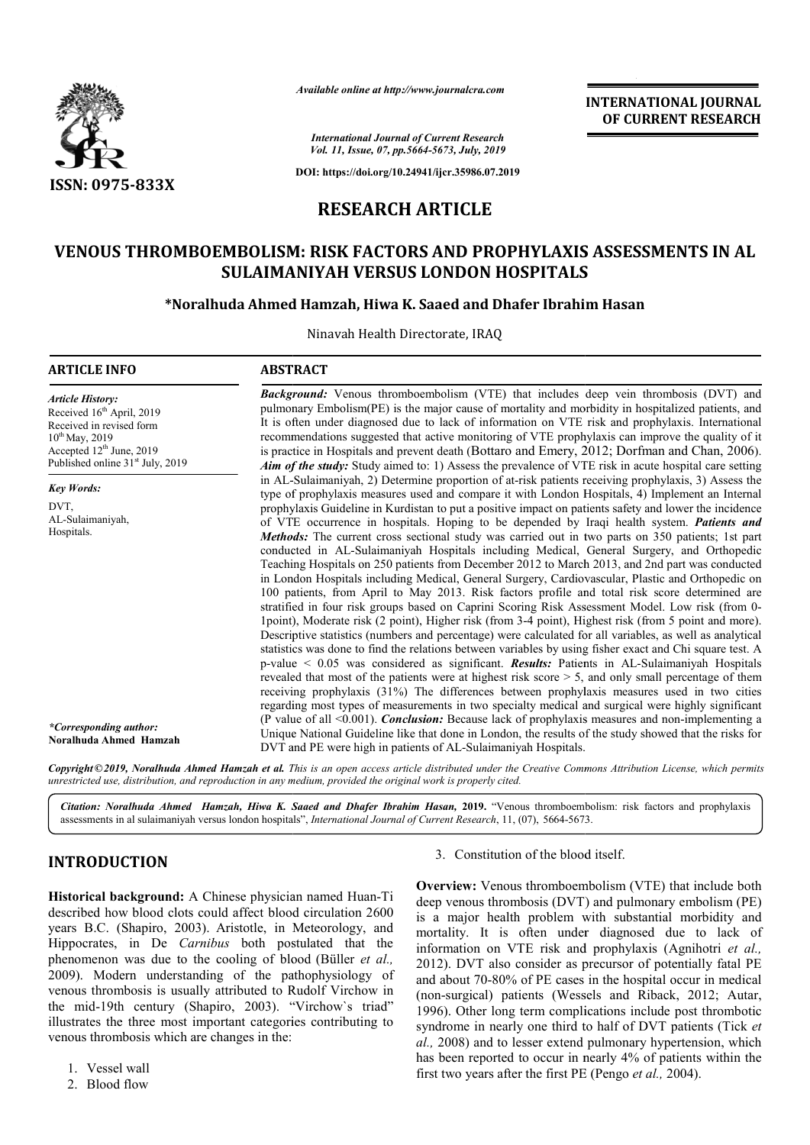

*Available online at http://www.journalcra.com*

**INTERNATIONAL JOURNAL OF CURRENT RESEARCH**

*International Journal of Current Research Vol. 11, Issue, 07, pp.5664-5673, July, 2019*

**DOI: https://doi.org/10.24941/ijcr.35986.07.2019**

# **RESEARCH ARTICLE**

# **VENOUS THROMBOEMBOLISM: RISK FACTORS AND PROPHYLAXIS ASSESSMENTS IN AL THROMBOEMBOLISM: PROPHYLAXIS ASSESSMENTS IN SULAIMANIYAH VERSUS LONDON HOSPITALS**

# **\*Noralhuda Ahmed Noralhuda Hamzah, Hiwa K. Saaed and Dhafer Ibrahim Hasan**

Ninavah Health Directorate, IRAQ

| <b>ARTICLE INFO</b>                                                                                                                                                                                         | <b>ABSTRACT</b>                                                                                                                                                                                                                                                                                                                                                                                                                                                                                                                                                                                                                                                                                                                                                                                                                                                                                                                                                                                                                                                                                                                                                                                                                                                                                                                                                                                                                                                                                                                                                                          |
|-------------------------------------------------------------------------------------------------------------------------------------------------------------------------------------------------------------|------------------------------------------------------------------------------------------------------------------------------------------------------------------------------------------------------------------------------------------------------------------------------------------------------------------------------------------------------------------------------------------------------------------------------------------------------------------------------------------------------------------------------------------------------------------------------------------------------------------------------------------------------------------------------------------------------------------------------------------------------------------------------------------------------------------------------------------------------------------------------------------------------------------------------------------------------------------------------------------------------------------------------------------------------------------------------------------------------------------------------------------------------------------------------------------------------------------------------------------------------------------------------------------------------------------------------------------------------------------------------------------------------------------------------------------------------------------------------------------------------------------------------------------------------------------------------------------|
| <b>Article History:</b><br>Received 16 <sup>th</sup> April, 2019<br>Received in revised form<br>$10^{th}$ May, 2019<br>Accepted 12 <sup>th</sup> June, 2019<br>Published online 31 <sup>st</sup> July, 2019 | <b>Background:</b> Venous thromboembolism (VTE) that includes deep vein thrombosis (DVT) and<br>pulmonary Embolism(PE) is the major cause of mortality and morbidity in hospitalized patients, and<br>It is often under diagnosed due to lack of information on VTE risk and prophylaxis. International<br>recommendations suggested that active monitoring of VTE prophylaxis can improve the quality of it<br>is practice in Hospitals and prevent death (Bottaro and Emery, 2012; Dorfman and Chan, 2006).<br>Aim of the study: Study aimed to: 1) Assess the prevalence of VTE risk in acute hospital care setting                                                                                                                                                                                                                                                                                                                                                                                                                                                                                                                                                                                                                                                                                                                                                                                                                                                                                                                                                                   |
| <b>Key Words:</b>                                                                                                                                                                                           | in AL-Sulaimaniyah, 2) Determine proportion of at-risk patients receiving prophylaxis, 3) Assess the<br>type of prophylaxis measures used and compare it with London Hospitals, 4) Implement an Internal                                                                                                                                                                                                                                                                                                                                                                                                                                                                                                                                                                                                                                                                                                                                                                                                                                                                                                                                                                                                                                                                                                                                                                                                                                                                                                                                                                                 |
| DVT.<br>AL-Sulaimaniyah,<br>Hospitals.                                                                                                                                                                      | prophylaxis Guideline in Kurdistan to put a positive impact on patients safety and lower the incidence<br>of VTE occurrence in hospitals. Hoping to be depended by Iraqi health system. <i>Patients and</i><br>Methods: The current cross sectional study was carried out in two parts on 350 patients; 1st part<br>conducted in AL-Sulaimaniyah Hospitals including Medical, General Surgery, and Orthopedic<br>Teaching Hospitals on 250 patients from December 2012 to March 2013, and 2nd part was conducted<br>in London Hospitals including Medical, General Surgery, Cardiovascular, Plastic and Orthopedic on<br>100 patients, from April to May 2013. Risk factors profile and total risk score determined are<br>stratified in four risk groups based on Caprini Scoring Risk Assessment Model. Low risk (from 0-<br>1point), Moderate risk (2 point), Higher risk (from 3-4 point), Highest risk (from 5 point and more).<br>Descriptive statistics (numbers and percentage) were calculated for all variables, as well as analytical<br>statistics was done to find the relations between variables by using fisher exact and Chi square test. A<br>$p$ -value $\leq 0.05$ was considered as significant. <b>Results:</b> Patients in AL-Sulaimaniyah Hospitals<br>revealed that most of the patients were at highest risk score > 5, and only small percentage of them<br>receiving prophylaxis (31%) The differences between prophylaxis measures used in two cities<br>regarding most types of measurements in two specialty medical and surgical were highly significant |
| *Corresponding author:<br>Noralhuda Ahmed Hamzah                                                                                                                                                            | (P value of all <0.001). <i>Conclusion:</i> Because lack of prophylaxis measures and non-implementing a<br>Unique National Guideline like that done in London, the results of the study showed that the risks for<br>DVT and PE were high in patients of AL-Sulaimaniyah Hospitals.                                                                                                                                                                                                                                                                                                                                                                                                                                                                                                                                                                                                                                                                                                                                                                                                                                                                                                                                                                                                                                                                                                                                                                                                                                                                                                      |

Copyright©2019, Noralhuda Ahmed Hamzah et al. This is an open access article distributed under the Creative Commons Attribution License, which permits *unrestricted use, distribution, and reproduction in any medium, provided the original work is properly cited.*

Citation: Noralhuda Ahmed Hamzah, Hiwa K. Saaed and Dhafer Ibrahim Hasan, 2019. "Venous thromboembolism: risk factors and prophylaxis assessments in al sulaimaniyah versus london hospitals", *International Journal of Curre* assessments in al sulaimaniyah versus london hospitals", *International Journal of Current Research*, 11, (07), 5664-5673

# **INTRODUCTION**

**Historical background:** A Chinese physician named Huan Huan-Ti described how blood clots could affect blood circulation 2600 years B.C. (Shapiro, 2003). Aristotle, in Meteorology, and Hippocrates, in De *Carnibus* both postulated that the phenomenon was due to the cooling of blood (Büller *et al.,*  2009). Modern understanding of the pathophysiology of venous thrombosis is usually attributed to Rudolf Virchow in the mid-19th century (Shapiro, 2003). "Virchow`s triad" illustrates the three most important categories contributing to venous thrombosis which are changes in the:

- 1. Vessel wall
- 2. Blood flow

### 3. Constitution of the blood itself.

**Overview:** Venous thromboembolism (VTE) that include both **Overview:** Venous thromboembolism (VTE) that include both deep venous thrombosis (DVT) and pulmonary embolism (PE) is a major health problem with substantial morbidity and is a major health problem with substantial morbidity and mortality. It is often under diagnosed due to lack of information on VTE risk and prophylaxis (Agnihotri *et al.,* 2012). DVT also consider as precursor of potentially fatal PE and about 70-80% of PE cases in the hospital occur in medical (non-surgical) patients (Wessels and Riback, 2012; Autar, 1996). Other long term complications include post thrombotic syndrome in nearly one third to half of DVT patients (Tick et *al.,* 2008) and to lesser extend pulmonary hypertension, which has been reported to occur in nearly 4% of patients within the has been reported to occur in nearly 4% of patients<br>first two years after the first PE (Pengo *et al.*, 2004). DVT also consider as precursor of potentially fatal PE<br>but 70-80% of PE cases in the hospital occur in medical<br>urgical) patients (Wessels and Riback, 2012; Autar,<br>Other long term complications include post thrombotic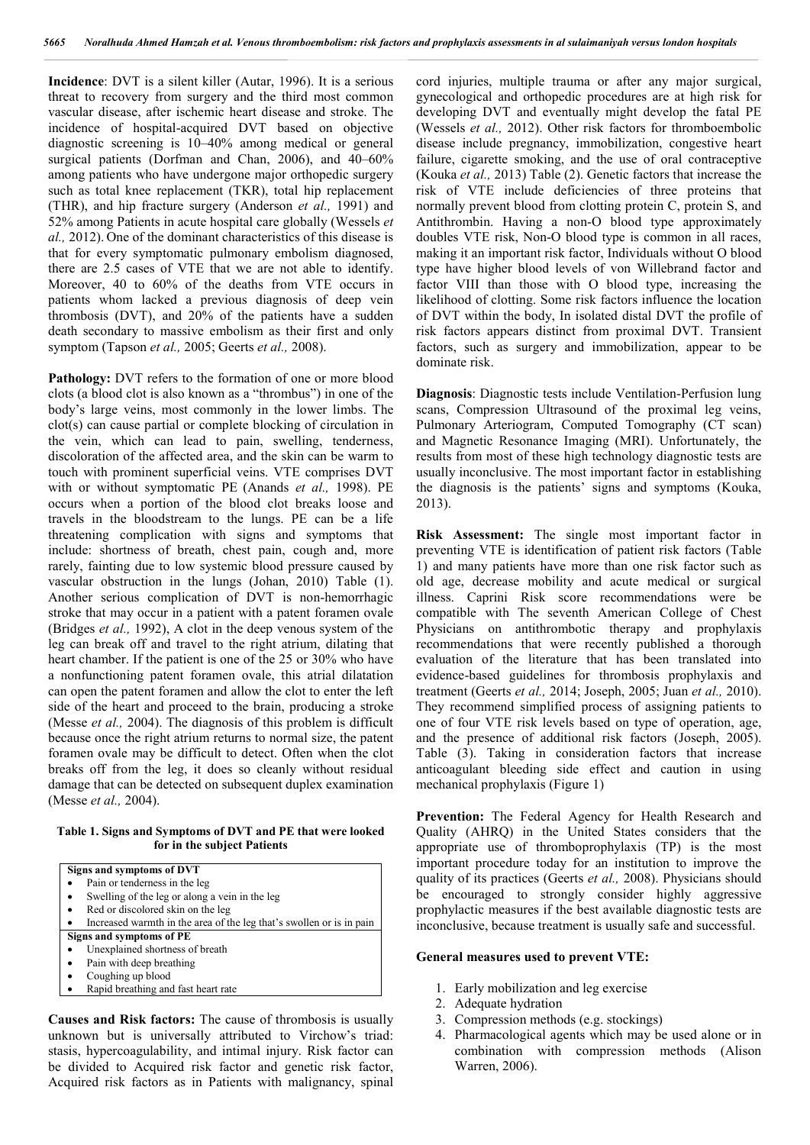**Incidence**: DVT is a silent killer (Autar, 1996). It is a serious threat to recovery from surgery and the third most common vascular disease, after ischemic heart disease and stroke. The incidence of hospital-acquired DVT based on objective diagnostic screening is 10–40% among medical or general surgical patients (Dorfman and Chan, 2006), and 40–60% among patients who have undergone major orthopedic surgery such as total knee replacement (TKR), total hip replacement (THR), and hip fracture surgery (Anderson *et al.,* 1991) and 52% among Patients in acute hospital care globally (Wessels *et al.,* 2012). One of the dominant characteristics of this disease is that for every symptomatic pulmonary embolism diagnosed, there are 2.5 cases of VTE that we are not able to identify. Moreover, 40 to 60% of the deaths from VTE occurs in patients whom lacked a previous diagnosis of deep vein thrombosis (DVT), and 20% of the patients have a sudden death secondary to massive embolism as their first and only symptom (Tapson *et al.,* 2005; Geerts *et al.,* 2008).

Pathology: DVT refers to the formation of one or more blood clots (a blood clot is also known as a "thrombus") in one of the body's large veins, most commonly in the lower limbs. The clot(s) can cause partial or complete blocking of circulation in the vein, which can lead to pain, swelling, tenderness, discoloration of the affected area, and the skin can be warm to touch with prominent superficial veins. VTE comprises DVT with or without symptomatic PE (Anands *et al.,* 1998). PE occurs when a portion of the blood clot breaks loose and travels in the bloodstream to the lungs. PE can be a life threatening complication with signs and symptoms that include: shortness of breath, chest pain, cough and, more rarely, fainting due to low systemic blood pressure caused by vascular obstruction in the lungs (Johan, 2010) Table (1). Another serious complication of DVT is non-hemorrhagic stroke that may occur in a patient with a patent foramen ovale (Bridges *et al.,* 1992), A clot in the deep venous system of the leg can break off and travel to the right atrium, dilating that heart chamber. If the patient is one of the 25 or 30% who have a nonfunctioning patent foramen ovale, this atrial dilatation can open the patent foramen and allow the clot to enter the left side of the heart and proceed to the brain, producing a stroke (Messe *et al.,* 2004). The diagnosis of this problem is difficult because once the right atrium returns to normal size, the patent foramen ovale may be difficult to detect. Often when the clot breaks off from the leg, it does so cleanly without residual damage that can be detected on subsequent duplex examination (Messe *et al.,* 2004).

#### **Table 1. Signs and Symptoms of DVT and PE that were looked for in the subject Patients**



**Causes and Risk factors:** The cause of thrombosis is usually unknown but is universally attributed to Virchow's triad: stasis, hypercoagulability, and intimal injury. Risk factor can be divided to Acquired risk factor and genetic risk factor, Acquired risk factors as in Patients with malignancy, spinal

cord injuries, multiple trauma or after any major surgical, gynecological and orthopedic procedures are at high risk for developing DVT and eventually might develop the fatal PE (Wessels *et al.,* 2012). Other risk factors for thromboembolic disease include pregnancy, immobilization, congestive heart failure, cigarette smoking, and the use of oral contraceptive (Kouka *et al.,* 2013) Table (2). Genetic factors that increase the risk of VTE include deficiencies of three proteins that normally prevent blood from clotting protein C, protein S, and Antithrombin. Having a non-O blood type approximately doubles VTE risk, Non-O blood type is common in all races, making it an important risk factor, Individuals without O blood type have higher blood levels of von Willebrand factor and factor VIII than those with O blood type, increasing the likelihood of clotting. Some risk factors influence the location of DVT within the body, In isolated distal DVT the profile of risk factors appears distinct from proximal DVT. Transient factors, such as surgery and immobilization, appear to be dominate risk.

**Diagnosis**: Diagnostic tests include Ventilation-Perfusion lung scans, Compression Ultrasound of the proximal leg veins, Pulmonary Arteriogram, Computed Tomography (CT scan) and Magnetic Resonance Imaging (MRI). Unfortunately, the results from most of these high technology diagnostic tests are usually inconclusive. The most important factor in establishing the diagnosis is the patients' signs and symptoms (Kouka, 2013).

**Risk Assessment:** The single most important factor in preventing VTE is identification of patient risk factors (Table 1) and many patients have more than one risk factor such as old age, decrease mobility and acute medical or surgical illness. Caprini Risk score recommendations were be compatible with The seventh American College of Chest Physicians on antithrombotic therapy and prophylaxis recommendations that were recently published a thorough evaluation of the literature that has been translated into evidence-based guidelines for thrombosis prophylaxis and treatment (Geerts *et al.,* 2014; Joseph, 2005; Juan *et al.,* 2010). They recommend simplified process of assigning patients to one of four VTE risk levels based on type of operation, age, and the presence of additional risk factors (Joseph, 2005). Table (3). Taking in consideration factors that increase anticoagulant bleeding side effect and caution in using mechanical prophylaxis (Figure 1)

Prevention: The Federal Agency for Health Research and Quality (AHRQ) in the United States considers that the appropriate use of thromboprophylaxis (TP) is the most important procedure today for an institution to improve the quality of its practices (Geerts *et al.,* 2008). Physicians should be encouraged to strongly consider highly aggressive prophylactic measures if the best available diagnostic tests are inconclusive, because treatment is usually safe and successful.

#### **General measures used to prevent VTE:**

- 1. Early mobilization and leg exercise
- 2. Adequate hydration
- 3. Compression methods (e.g. stockings)
- 4. Pharmacological agents which may be used alone or in combination with compression methods (Alison Warren, 2006).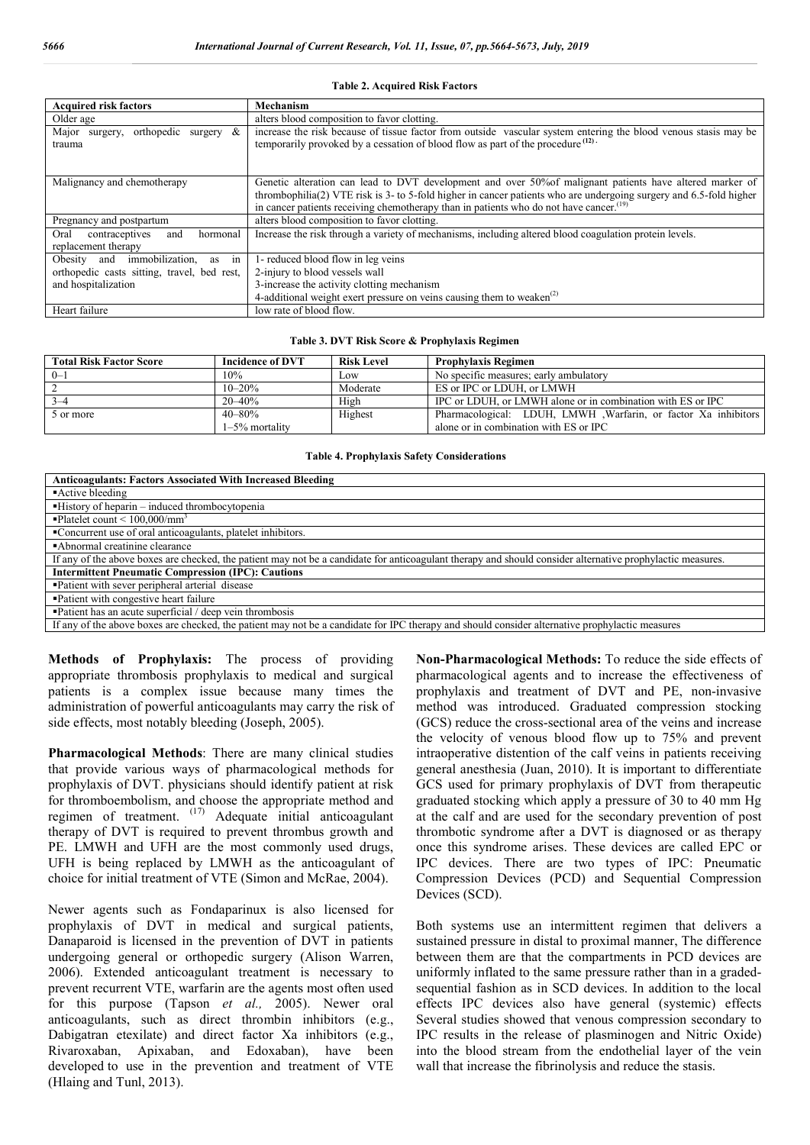| <b>Acquired risk factors</b>                                     | Mechanism                                                                                                                                                                                                                                                                                                                            |
|------------------------------------------------------------------|--------------------------------------------------------------------------------------------------------------------------------------------------------------------------------------------------------------------------------------------------------------------------------------------------------------------------------------|
| Older age                                                        | alters blood composition to favor clotting.                                                                                                                                                                                                                                                                                          |
| Major surgery, orthopedic surgery $\&$<br>trauma                 | increase the risk because of tissue factor from outside vascular system entering the blood venous stasis may be<br>temporarily provoked by a cessation of blood flow as part of the procedure <sup>(12)</sup> .                                                                                                                      |
| Malignancy and chemotherapy                                      | Genetic alteration can lead to DVT development and over 50% of malignant patients have altered marker of<br>thrombophilia(2) VTE risk is 3- to 5-fold higher in cancer patients who are undergoing surgery and 6.5-fold higher<br>in cancer patients receiving chemotherapy than in patients who do not have cancer. <sup>(19)</sup> |
| Pregnancy and postpartum                                         | alters blood composition to favor clotting.                                                                                                                                                                                                                                                                                          |
| contraceptives<br>Oral<br>and<br>hormonal<br>replacement therapy | Increase the risk through a variety of mechanisms, including altered blood coagulation protein levels.                                                                                                                                                                                                                               |
| Obesity and immobilization,<br>as in                             | 1- reduced blood flow in leg veins                                                                                                                                                                                                                                                                                                   |
| orthopedic casts sitting, travel, bed rest,                      | 2-injury to blood vessels wall                                                                                                                                                                                                                                                                                                       |
| and hospitalization                                              | 3-increase the activity clotting mechanism                                                                                                                                                                                                                                                                                           |
|                                                                  | 4-additional weight exert pressure on veins causing them to weaken $^{(2)}$                                                                                                                                                                                                                                                          |
| Heart failure                                                    | low rate of blood flow.                                                                                                                                                                                                                                                                                                              |

#### **Table 2. Acquired Risk Factors**

#### **Table 3. DVT Risk Score & Prophylaxis Regimen**

| <b>Total Risk Factor Score</b> | <b>Incidence of DVT</b> | <b>Risk Level</b> | <b>Prophylaxis Regimen</b>                                      |
|--------------------------------|-------------------------|-------------------|-----------------------------------------------------------------|
| $0 - 1$                        | 10%                     | LOW               | No specific measures; early ambulatory                          |
|                                | $10 - 20%$              | Moderate          | ES or IPC or LDUH, or LMWH                                      |
|                                | $20 - 40\%$             | High              | IPC or LDUH, or LMWH alone or in combination with ES or IPC     |
| 5 or more                      | $40 - 80%$              | Highest           | Pharmacological: LDUH, LMWH , Warfarin, or factor Xa inhibitors |
|                                | $1-5\%$ mortality       |                   | alone or in combination with ES or IPC                          |

**Table 4. Prophylaxis Safety Considerations**

| <b>Anticoagulants: Factors Associated With Increased Bleeding</b>                                                                                          |
|------------------------------------------------------------------------------------------------------------------------------------------------------------|
| Active bleeding                                                                                                                                            |
| "History of heparin – induced thrombocytopenia                                                                                                             |
| $\blacksquare$ Platelet count < 100,000/mm <sup>3</sup>                                                                                                    |
| •Concurrent use of oral anticoagulants, platelet inhibitors.                                                                                               |
| Abnormal creatinine clearance                                                                                                                              |
| If any of the above boxes are checked, the patient may not be a candidate for anticoagulant therapy and should consider alternative prophylactic measures. |
| <b>Intermittent Pneumatic Compression (IPC): Cautions</b>                                                                                                  |
| • Patient with sever peripheral arterial disease                                                                                                           |
| • Patient with congestive heart failure                                                                                                                    |
| • Patient has an acute superficial / deep vein thrombosis                                                                                                  |
| If any of the above boxes are checked, the patient may not be a candidate for IPC therapy and should consider alternative prophylactic measures            |

**Methods of Prophylaxis:** The process of providing appropriate thrombosis prophylaxis to medical and surgical patients is a complex issue because many times the administration of powerful anticoagulants may carry the risk of

**Pharmacological Methods**: There are many clinical studies that provide various ways of pharmacological methods for prophylaxis of DVT. physicians should identify patient at risk for thromboembolism, and choose the appropriate method and regimen of treatment.  $(17)$  Adequate initial anticoagulant therapy of DVT is required to prevent thrombus growth and PE. LMWH and UFH are the most commonly used drugs, UFH is being replaced by LMWH as the anticoagulant of choice for initial treatment of VTE (Simon and McRae, 2004).

side effects, most notably bleeding (Joseph, 2005).

Newer agents such as Fondaparinux is also licensed for prophylaxis of DVT in medical and surgical patients, Danaparoid is licensed in the prevention of DVT in patients undergoing general or orthopedic surgery (Alison Warren, 2006). Extended anticoagulant treatment is necessary to prevent recurrent VTE, warfarin are the agents most often used for this purpose (Tapson *et al.,* 2005). Newer oral anticoagulants, such as direct thrombin inhibitors (e.g., Dabigatran etexilate) and direct factor Xa inhibitors (e.g., Rivaroxaban, Apixaban, and Edoxaban), have been developed to use in the prevention and treatment of VTE (Hlaing and Tunl, 2013).

**Non-Pharmacological Methods:** To reduce the side effects of pharmacological agents and to increase the effectiveness of prophylaxis and treatment of DVT and PE, non-invasive method was introduced. Graduated compression stocking (GCS) reduce the cross-sectional area of the veins and increase the velocity of venous blood flow up to 75% and prevent intraoperative distention of the calf veins in patients receiving general anesthesia (Juan, 2010). It is important to differentiate GCS used for primary prophylaxis of DVT from therapeutic graduated stocking which apply a pressure of 30 to 40 mm Hg at the calf and are used for the secondary prevention of post thrombotic syndrome after a DVT is diagnosed or as therapy once this syndrome arises. These devices are called EPC or IPC devices. There are two types of IPC: Pneumatic Compression Devices (PCD) and Sequential Compression Devices (SCD).

Both systems use an intermittent regimen that delivers a sustained pressure in distal to proximal manner, The difference between them are that the compartments in PCD devices are uniformly inflated to the same pressure rather than in a gradedsequential fashion as in SCD devices. In addition to the local effects IPC devices also have general (systemic) effects Several studies showed that venous compression secondary to IPC results in the release of plasminogen and Nitric Oxide) into the blood stream from the endothelial layer of the vein wall that increase the fibrinolysis and reduce the stasis.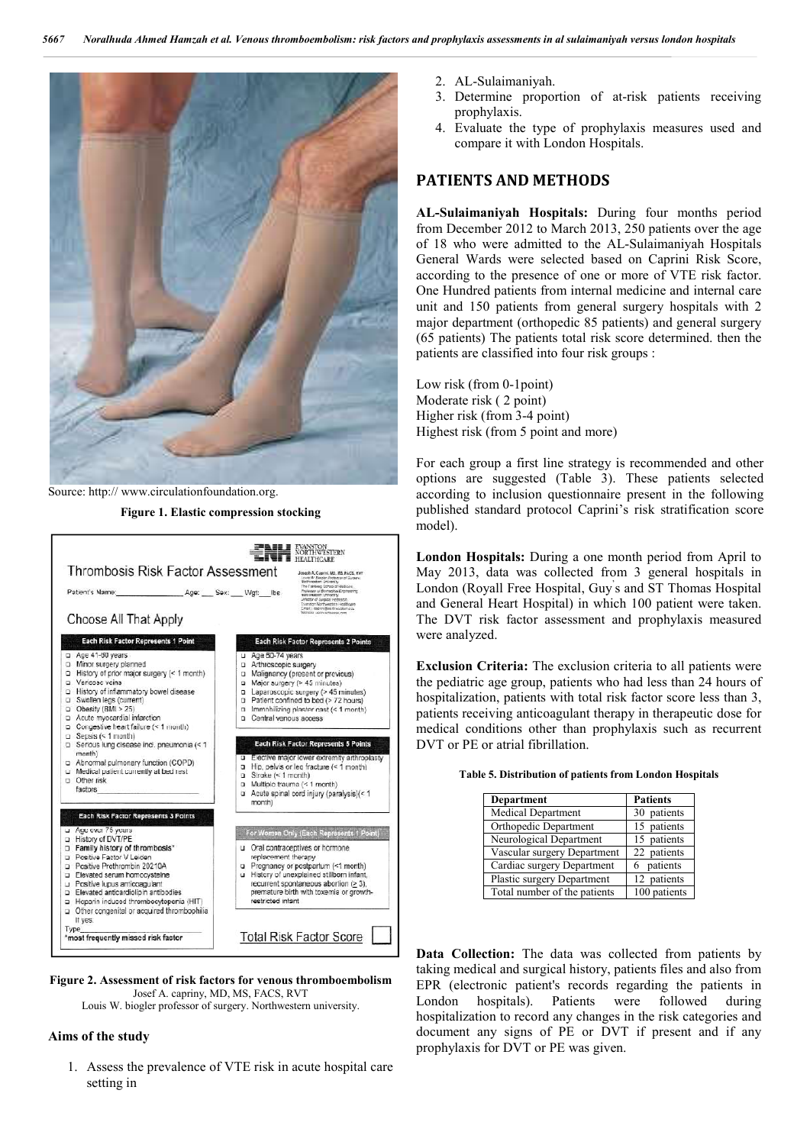

Source: http:// www.circulationfoundation.org.

**Figure 1. Elastic compression stocking**



#### **Figure 2. Assessment of risk factors for venous thromboembolism** Josef A. capriny, MD, MS, FACS, RVT

Louis W. biogler professor of surgery. Northwestern university.

#### **Aims of the study**

1. Assess the prevalence of VTE risk in acute hospital care setting in

- 2. AL-Sulaimaniyah.
- 3. Determine proportion of at-risk patients receiving prophylaxis.
- 4. Evaluate the type of prophylaxis measures used and compare it with London Hospitals.

### **PATIENTS AND METHODS**

**AL-Sulaimaniyah Hospitals:** During four months period from December 2012 to March 2013, 250 patients over the age of 18 who were admitted to the AL-Sulaimaniyah Hospitals General Wards were selected based on Caprini Risk Score, according to the presence of one or more of VTE risk factor. One Hundred patients from internal medicine and internal care unit and 150 patients from general surgery hospitals with 2 major department (orthopedic 85 patients) and general surgery (65 patients) The patients total risk score determined. then the patients are classified into four risk groups :

Low risk (from 0-1point) Moderate risk ( 2 point) Higher risk (from 3-4 point) Highest risk (from 5 point and more)

For each group a first line strategy is recommended and other options are suggested (Table 3). These patients selected according to inclusion questionnaire present in the following published standard protocol Caprini's risk stratification score model).

**London Hospitals:** During a one month period from April to May 2013, data was collected from 3 general hospitals in London (Royall Free Hospital, Guy' s and ST Thomas Hospital and General Heart Hospital) in which 100 patient were taken. The DVT risk factor assessment and prophylaxis measured were analyzed.

**Exclusion Criteria:** The exclusion criteria to all patients were the pediatric age group, patients who had less than 24 hours of hospitalization, patients with total risk factor score less than 3, patients receiving anticoagulant therapy in therapeutic dose for medical conditions other than prophylaxis such as recurrent DVT or PE or atrial fibrillation.

| Table 5. Distribution of patients from London Hospitals |  |  |
|---------------------------------------------------------|--|--|
|---------------------------------------------------------|--|--|

| <b>Department</b>            | <b>Patients</b> |
|------------------------------|-----------------|
| Medical Department           | 30 patients     |
| Orthopedic Department        | 15 patients     |
| Neurological Department      | 15 patients     |
| Vascular surgery Department  | 22 patients     |
| Cardiac surgery Department   | 6 patients      |
| Plastic surgery Department   | 12 patients     |
| Total number of the patients | 100 patients    |

**Data Collection:** The data was collected from patients by taking medical and surgical history, patients files and also from EPR (electronic patient's records regarding the patients in London hospitals). Patients were followed during London hospitals). Patients were followed during hospitalization to record any changes in the risk categories and document any signs of PE or DVT if present and if any prophylaxis for DVT or PE was given.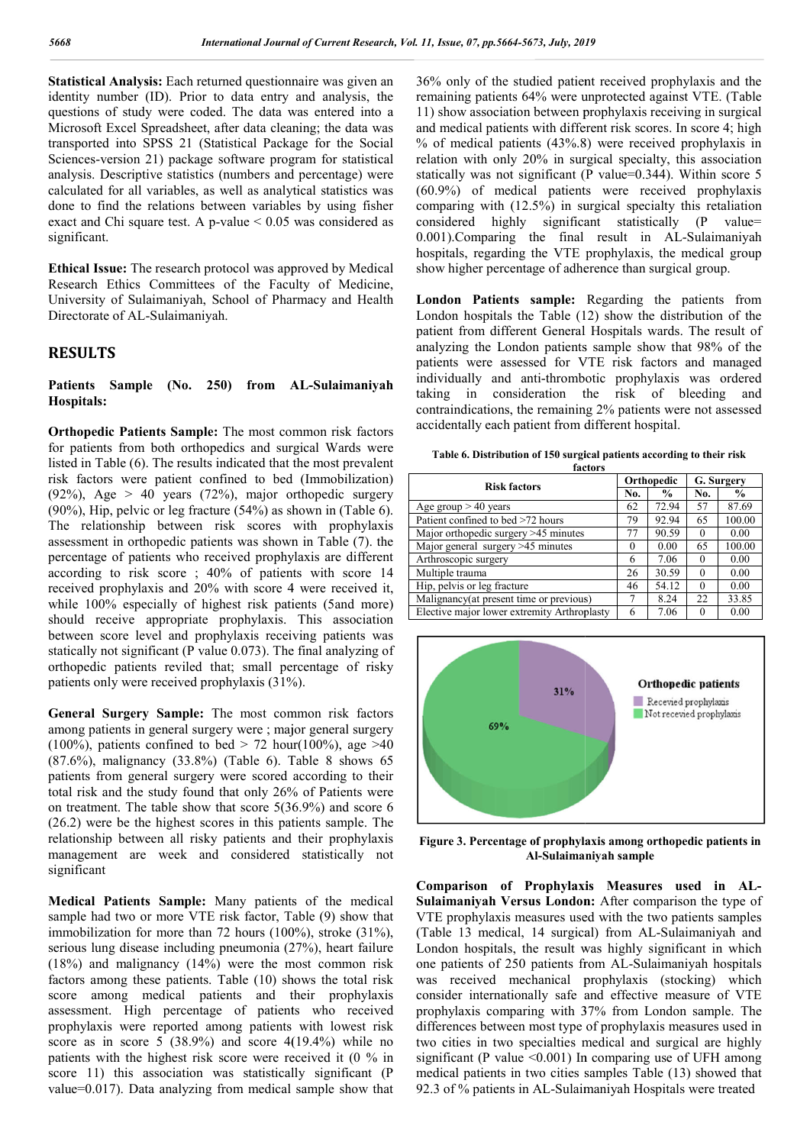**Statistical Analysis:** Each returned questionnaire was given an identity number (ID). Prior to data entry and analysis, the questions of study were coded. The data was entered into a Microsoft Excel Spreadsheet, after data cleaning; the data was transported into SPSS 21 (Statistical Package for the Social Sciences-version 21) package software program for statistical analysis. Descriptive statistics (numbers and percentage) were calculated for all variables, as well as analytical statistics was done to find the relations between variables by using fisher exact and Chi square test. A p-value  $\leq 0.05$  was considered as significant.

**Ethical Issue:** The research protocol was approved by Medical Research Ethics Committees of the Faculty of Medicine, University of Sulaimaniyah, School of Pharmacy and Health Directorate of AL-Sulaimaniyah.

## **RESULTS**

**Patients Sample (No. 250) Hospitals: AL-Sulaimaniyah** 

**Orthopedic Patients Sample:** The most common risk factors for patients from both orthopedics and surgical Wards were listed in Table (6). The results indicated that the most prevalent risk factors were patient confined to bed (Immobilization) (92%), Age  $> 40$  years (72%), major orthopedic surgery listed in Table (6). The results indicated that the most prevalent<br>risk factors were patient confined to bed (Immobilization)<br>(92%), Age > 40 years (72%), major orthopedic surgery<br>(90%), Hip, pelvic or leg fracture (54%) The relationship between risk scores with prophylaxis assessment in orthopedic patients was shown in Table (7). the percentage of patients who received prophylaxis are different according to risk score ; 40% of patients with score 14 received prophylaxis and 20% with score 4 were received it, while 100% especially of highest risk patients (5and more) should receive appropriate prophylaxis. This association between score level and prophylaxis receiving patients was statically not significant (P value 0.073). The final analyzing of orthopedic patients reviled that; small percentage of risky patients only were received prophylaxis (31% (31%). rcentage of patients who received prophylaxis are different<br>cording to risk score; 40% of patients with score 14<br>ceived prophylaxis and 20% with score 4 were received it,<br>ille 100% especially of highest risk patients (5and

**General Surgery Sample:** The most common risk factors among patients in general surgery were ; major general surgery (100%), patients confined to bed  $> 72$  hour(100%), age  $>40$  $(87.6\%)$ , malignancy  $(33.8\%)$  (Table 6). Table 8 shows 65 patients from general surgery were scored according to their total risk and the study found that only 26% of Patients were on treatment. The table show that score 5(36.9%) and score 6 (26.2) were be the highest scores in this patients sample. The relationship between all risky patients and their prophylaxis management are week and considered statistically not significant

**Medical Patients Sample:** Many patients of the medical sample had two or more VTE risk factor, Table (9) show that immobilization for more than 72 hours (100%), stroke (31%), serious lung disease including pneumonia (27%), heart failure (18%) and malignancy (14%) were the most common risk factors among these patients. Table  $(10)$  shows the total risk score among medical patients and their prophylaxis assessment. High percentage of patients who received prophylaxis were reported among patients with lowest risk score as in score 5 (38.9%) and score 4(19.4%) while no patients with the highest risk score were received it (0 % in score 11) this association was statistically significant (P value=0.017). Data analyzing from medical sample show that 36% only of the studied patient received prophylaxis and the 36% only of the studied patient received prophylaxis and the remaining patients 64% were unprotected against VTE. (Table 11) show association between prophylaxis receiving in surgical 11) show association between prophylaxis receiving in surgical and medical patients with different risk scores. In score 4; high  $%$  of medical patients  $(43%.8)$  were received prophylaxis in relation with only 20% in surgical specialty, this association statically was not significant (P value=0.344). Within score 5 (60.9%) of medical patients were received prophylaxis comparing with (12.5%) in surgical specialty this retaliation considered highly significant statistically (P value= 0.001). Comparing the final result in AL-Sulaimaniyah hospitals, regarding the VTE prophylaxis, the medical group show higher percentage of adherence than surgical group. medical patients were received prophylaxis<br>ith (12.5%) in surgical specialty this retaliation<br>highly significant statistically (P value=<br>aring the final result in AL-Sulaimaniyah

London Patients sample: Regarding the patients from London hospitals the Table (12) show the distribution of the patient from different General Hospitals wards. The result of analyzing the London patients sample show that 98% of the patients were assessed for VTE risk factors and managed individually and anti-thrombotic prophylaxis was ordered patient from different General Hospitals wards. The result of analyzing the London patients sample show that 98% of the patients were assessed for VTE risk factors and managed individually and anti-thrombotic prophylaxis w contraindications, the remaining 2% patients were not assessed accidentally each patient from different hospital.

| factors<br><b>Risk factors</b>              |    | Orthopedic    |          | G. Surgery    |
|---------------------------------------------|----|---------------|----------|---------------|
|                                             |    | $\frac{0}{0}$ | No.      | $\frac{0}{0}$ |
| Age group $> 40$ years                      | 62 | 72.94         | 57       | 87.69         |
| Patient confined to bed >72 hours           | 79 | 92.94         | 65       | 100.00        |
| Major orthopedic surgery $>45$ minutes      |    | 90.59         | $\theta$ | 0.00          |
| Major general surgery >45 minutes           |    | 0.00          | 65       | 100.00        |
| Arthroscopic surgery                        | 6  | 7.06          | $\Omega$ | 0.00          |
| Multiple trauma                             | 26 | 30.59         | $\Omega$ | 0.00          |
| Hip, pelvis or leg fracture                 | 46 | 54.12         | $\Omega$ | 0.00          |
| Malignancy (at present time or previous)    |    | 8.24          | 22       | 33.85         |
| Elective major lower extremity Arthroplasty | 6  | 7.06          |          | 0.00          |



Figure 3. Percentage of prophylaxis among orthopedic patients in **Al-Sulaimaniyah sample**

Al-Sulaimaniyah sample<br>Comparison of Prophylaxis Measures used in **AL**-**Sulaimaniyah Versus London:**  After comparison the type of VTE prophylaxis measures used with the two patients samples VTE prophylaxis measures used with the two patients samples (Table 13 medical, 14 surgical) from AL-Sulaimaniyah and London hospitals, the result was highly significant in which London hospitals, the result was highly significant in which one patients of 250 patients from AL-Sulaimaniyah hospitals was received mechanical prophylaxis (stocking) which consider internationally safe and effective measure of VTE consider internationally safe and effective measure of VTE prophylaxis comparing with 37% from London sample. The differences between most type of prophylaxis measures used in two cities in two specialties medical and surgical are highly significant (P value  $\leq 0.001$ ) In comparing use of UFH among medical patients in two cities samples Table (13) showed that 92.3 of % patients in AL-Sulaimaniyah Hospitals were treated differences between most type of prophylaxis measures used in<br>two cities in two specialties medical and surgical are highly<br>significant (P value <0.001) In comparing use of UFH among<br>medical patients in two cities samples *uty, 2019*<br>
patient receiv<br>
patient receiv<br>
were unprotect<br>
were unprotect<br>
different risk<br>
43%.8) were 1<br>
in surgical spear<br>
and (P value-<br>
atients were<br>
in surgical spear<br>
from surgical spear<br>
from Le in Surgical<br>
fadhe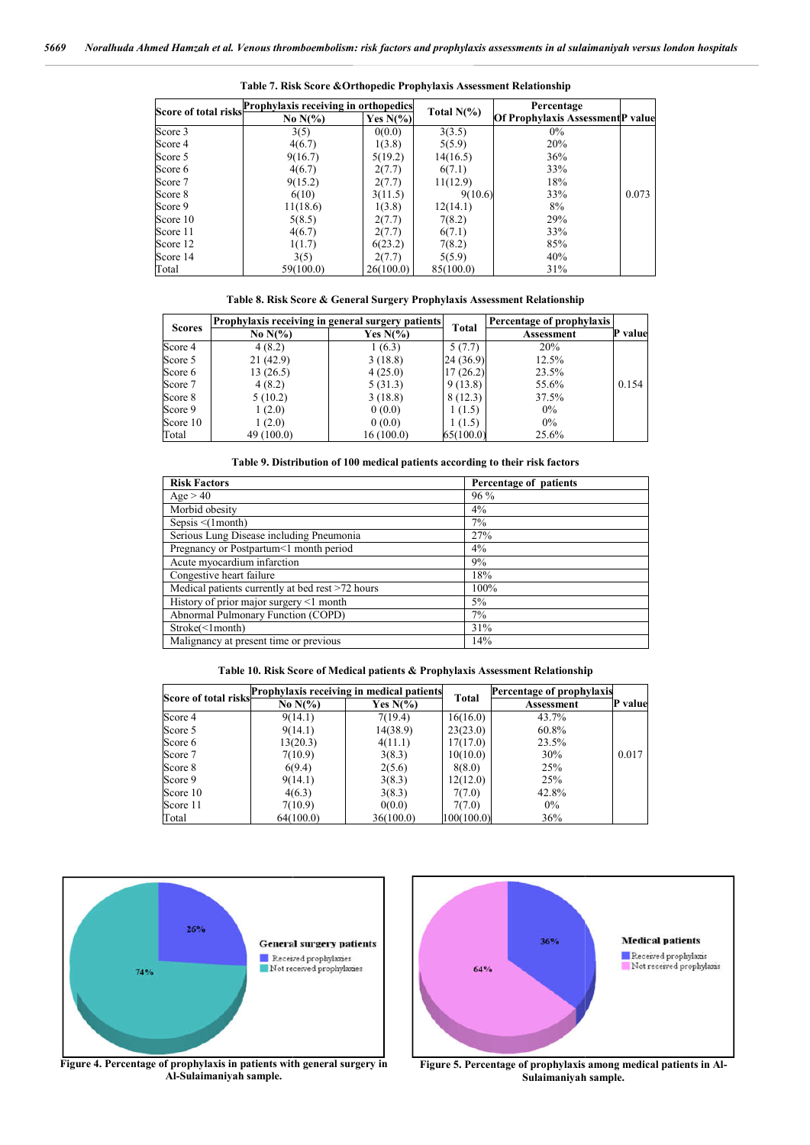|          | Score of total risks <b>Prophylaxis receiving in orthopedics</b> |             |               | Percentage                              |       |
|----------|------------------------------------------------------------------|-------------|---------------|-----------------------------------------|-------|
|          | No $N(\%)$                                                       | Yes $N(\%)$ | Total $N(\%)$ | <b>Of Prophylaxis AssessmentP value</b> |       |
| Score 3  | 3(5)                                                             | 0(0.0)      | 3(3.5)        | $0\%$                                   |       |
| Score 4  | 4(6.7)                                                           | 1(3.8)      | 5(5.9)        | 20%                                     |       |
| Score 5  | 9(16.7)                                                          | 5(19.2)     | 14(16.5)      | 36%                                     |       |
| Score 6  | 4(6.7)                                                           | 2(7.7)      | 6(7.1)        | 33%                                     |       |
| Score 7  | 9(15.2)                                                          | 2(7.7)      | 11(12.9)      | 18%                                     |       |
| Score 8  | 6(10)                                                            | 3(11.5)     | 9(10.6)       | 33%                                     | 0.073 |
| Score 9  | 11(18.6)                                                         | 1(3.8)      | 12(14.1)      | 8%                                      |       |
| Score 10 | 5(8.5)                                                           | 2(7.7)      | 7(8.2)        | 29%                                     |       |
| Score 11 | 4(6.7)                                                           | 2(7.7)      | 6(7.1)        | 33%                                     |       |
| Score 12 | 1(1.7)                                                           | 6(23.2)     | 7(8.2)        | 85%                                     |       |
| Score 14 | 3(5)                                                             | 2(7.7)      | 5(5.9)        | 40%                                     |       |
| Total    | 59(100.0)                                                        | 26(100.0)   | 85(100.0)     | 31%                                     |       |

**Table 7. Risk Score & &Orthopedic Prophylaxis Assessment Relationship**

| Table 8. Risk Score & General Surgery Prophylaxis Assessment Relationship |  |  |  |  |
|---------------------------------------------------------------------------|--|--|--|--|
|---------------------------------------------------------------------------|--|--|--|--|

| <b>Scores</b> | Prophylaxis receiving in general surgery patients |                              | Total     | Percentage of prophylaxis |         |
|---------------|---------------------------------------------------|------------------------------|-----------|---------------------------|---------|
|               | No $N(\%)$                                        | Yes $N\frac{\omega}{\omega}$ |           | Assessment                | P value |
| Score 4       | 4(8.2)                                            | 1(6.3)                       | 5(7.7)    | 20%                       |         |
| Score 5       | 21(42.9)                                          | 3(18.8)                      | 24 (36.9) | 12.5%                     |         |
| Score 6       | 13(26.5)                                          | 4(25.0)                      | 17(26.2)  | 23.5%                     |         |
| Score 7       | 4(8.2)                                            | 5(31.3)                      | 9(13.8)   | 55.6%                     | 0.154   |
| Score 8       | 5(10.2)                                           | 3(18.8)                      | 8(12.3)   | 37.5%                     |         |
| Score 9       | 1(2.0)                                            | 0(0.0)                       | 1(1.5)    | $0\%$                     |         |
| Score 10      | 1(2.0)                                            | 0(0.0)                       | 1(1.5)    | $0\%$                     |         |
| Total         | 49 (100.0)                                        | 16(100.0)                    | 65(100.0) | 25.6%                     |         |

**Table 9. Distribution of 100 medical patients according to their risk factors**

| <b>Risk Factors</b>                              | Percentage of patients |
|--------------------------------------------------|------------------------|
| Age > 40                                         | $96\%$                 |
| Morbid obesity                                   | 4%                     |
| Sepsis $\leq$ (1 month)                          | 7%                     |
| Serious Lung Disease including Pneumonia         | 27%                    |
| Pregnancy or Postpartum<1 month period           | 4%                     |
| Acute myocardium infarction                      | 9%                     |
| Congestive heart failure                         | 18%                    |
| Medical patients currently at bed rest >72 hours | 100%                   |
| History of prior major surgery <1 month          | 5%                     |
| Abnormal Pulmonary Function (COPD)               | 7%                     |
| Stroke(<1month)                                  | 31%                    |
| Malignancy at present time or previous           | 14%                    |

#### **Table 10. Risk Score of Medical patients & Prophylaxis Assessment Relationship**

| Score of total risks | Prophylaxis receiving in medical patients |                              | <b>Total</b> | Percentage of prophylaxis |       |
|----------------------|-------------------------------------------|------------------------------|--------------|---------------------------|-------|
|                      | No $N(\%)$                                | Yes $N\frac{\omega}{\omega}$ |              | Assessment                | value |
| Score 4              | 9(14.1)                                   | 7(19.4)                      | 16(16.0)     | 43.7%                     |       |
| Score 5              | 9(14.1)                                   | 14(38.9)                     | 23(23.0)     | 60.8%                     |       |
| Score 6              | 13(20.3)                                  | 4(11.1)                      | 17(17.0)     | 23.5%                     |       |
| Score 7              | 7(10.9)                                   | 3(8.3)                       | 10(10.0)     | 30%                       | 0.017 |
| Score 8              | 6(9.4)                                    | 2(5.6)                       | 8(8.0)       | 25%                       |       |
| Score 9              | 9(14.1)                                   | 3(8.3)                       | 12(12.0)     | 25%                       |       |
| Score 10             | 4(6.3)                                    | 3(8.3)                       | 7(7.0)       | 42.8%                     |       |
| Score 11             | 7(10.9)                                   | 0(0.0)                       | 7(7.0)       | $0\%$                     |       |
| Total                | 64(100.0)                                 | 36(100.0)                    | 100(100.0)   | 36%                       |       |





**Al-Sulaimaniyah sample.**

Figure 5. Percentage of prophylaxis among medical patients in Al-**Sulaimaniyah sample.**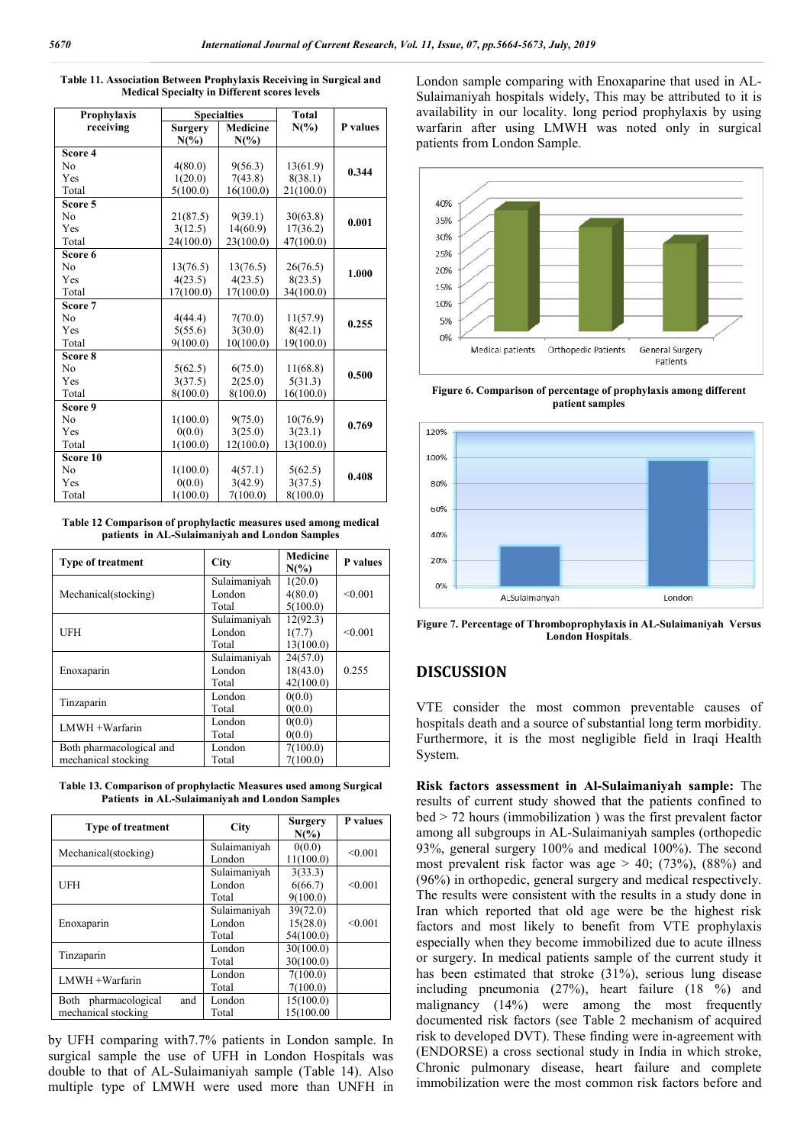| Prophylaxis                                                       |                           | <b>Specialties</b>         | <b>Total</b>         |          | availability in our locality. long period p                                         |
|-------------------------------------------------------------------|---------------------------|----------------------------|----------------------|----------|-------------------------------------------------------------------------------------|
| receiving                                                         | <b>Surgery</b><br>$N(\%)$ | <b>Medicine</b><br>$N(\%)$ | $N(\%)$              | P values | warfarin after using LMWH was note                                                  |
| Score 4                                                           |                           |                            |                      |          | patients from London Sample.                                                        |
| No                                                                | 4(80.0)                   | 9(56.3)                    | 13(61.9)             | 0.344    |                                                                                     |
| Yes                                                               | 1(20.0)                   | 7(43.8)                    | 8(38.1)              |          |                                                                                     |
| Total<br>Score 5                                                  | 5(100.0)                  | 16(100.0)                  | 21(100.0)            |          | 40%                                                                                 |
| No                                                                | 21(87.5)                  | 9(39.1)                    | 30(63.8)             |          | 35%                                                                                 |
| Yes                                                               | 3(12.5)                   | 14(60.9)                   | 17(36.2)             | 0.001    |                                                                                     |
| Total                                                             | 24(100.0)                 | 23(100.0)                  | 47(100.0)            |          | 30%                                                                                 |
| Score 6                                                           |                           |                            |                      |          | 25%                                                                                 |
| No<br>Yes                                                         | 13(76.5)<br>4(23.5)       | 13(76.5)<br>4(23.5)        | 26(76.5)<br>8(23.5)  | 1.000    | 20%                                                                                 |
| Total                                                             | 17(100.0)                 | 17(100.0)                  | 34(100.0)            |          | 15%                                                                                 |
| Score 7                                                           |                           |                            |                      |          | 10%                                                                                 |
| No                                                                | 4(44.4)                   | 7(70.0)                    | 11(57.9)             | 0.255    | 5%                                                                                  |
| Yes<br>Total                                                      | 5(55.6)<br>9(100.0)       | 3(30.0)<br>10(100.0)       | 8(42.1)<br>19(100.0) |          | 0%                                                                                  |
| Score 8                                                           |                           |                            |                      |          | Medical patients<br>Orthopedic Patients                                             |
| No                                                                | 5(62.5)                   | 6(75.0)                    | 11(68.8)             |          |                                                                                     |
| Yes                                                               | 3(37.5)                   | 2(25.0)                    | 5(31.3)              | 0.500    |                                                                                     |
| Total                                                             | 8(100.0)                  | 8(100.0)                   | 16(100.0)            |          | Figure 6. Comparison of percentage of prophy<br>patient samples                     |
| Score 9<br>No                                                     | 1(100.0)                  |                            |                      |          |                                                                                     |
| Yes                                                               | 0(0.0)                    | 9(75.0)<br>3(25.0)         | 10(76.9)<br>3(23.1)  | 0.769    | 120%                                                                                |
| Total                                                             | 1(100.0)                  | 12(100.0)                  | 13(100.0)            |          |                                                                                     |
| Score 10                                                          |                           |                            |                      |          | 100%                                                                                |
| No                                                                | 1(100.0)                  | 4(57.1)                    | 5(62.5)              | 0.408    |                                                                                     |
| Yes<br>Total                                                      | 0(0.0)<br>1(100.0)        | 3(42.9)<br>7(100.0)        | 3(37.5)<br>8(100.0)  |          | 80%                                                                                 |
|                                                                   |                           |                            |                      |          | 60%                                                                                 |
| Table 12 Comparison of prophylactic measures used among medical   |                           |                            |                      |          |                                                                                     |
| patients in AL-Sulaimaniyah and London Samples                    |                           |                            |                      |          | 40%                                                                                 |
|                                                                   |                           |                            | Medicine             |          |                                                                                     |
| Type of treatment                                                 |                           | <b>City</b>                | $N(\%)$              | P values | 20%                                                                                 |
|                                                                   |                           | Sulaimaniyah               | 1(20.0)              |          | 0%                                                                                  |
| Mechanical(stocking)                                              |                           | London                     | 4(80.0)              | < 0.001  | ALSulaimanyah                                                                       |
|                                                                   |                           | Total                      | 5(100.0)             |          |                                                                                     |
| <b>UFH</b>                                                        |                           | Sulaimaniyah<br>London     | 12(92.3)<br>1(7.7)   | < 0.001  | Figure 7. Percentage of Thromboprophylaxis in A                                     |
|                                                                   |                           | Total                      | 13(100.0)            |          | <b>London Hospitals.</b>                                                            |
|                                                                   |                           | Sulaimaniyah               | 24(57.0)             |          |                                                                                     |
| Enoxaparin                                                        |                           | London                     | 18(43.0)             | 0.255    | <b>DISCUSSION</b>                                                                   |
|                                                                   |                           | Total                      | 42(100.0)            |          |                                                                                     |
| Tinzaparin                                                        |                           | London<br>Total            | 0(0.0)<br>0(0.0)     |          | VTE consider the most common pre                                                    |
|                                                                   |                           | London                     | 0(0.0)               |          | hospitals death and a source of substantial                                         |
| LMWH +Warfarin                                                    |                           | Total                      | 0(0.0)               |          | Furthermore, it is the most negligible f                                            |
| Both pharmacological and                                          |                           | London                     | 7(100.0)             |          | System.                                                                             |
| mechanical stocking                                               |                           | Total                      | 7(100.0)             |          |                                                                                     |
| Table 13. Comparison of prophylactic Measures used among Surgical |                           |                            |                      |          | Risk factors assessment in Al-Sulaima                                               |
| Patients in AL-Sulaimaniyah and London Samples                    |                           |                            |                      |          | results of current study showed that the                                            |
|                                                                   |                           |                            |                      |          | $bed > 72$ hours (immobilization) was the                                           |
| Type of treatment                                                 |                           | <b>City</b>                | <b>Surgery</b>       | P values | among all subgroups in AL-Sulaimaniyah                                              |
|                                                                   |                           | Sulaimaniyah               | $N(\%)$<br>0(0.0)    |          | 93%, general surgery 100% and medical                                               |
| Mechanical(stocking)                                              |                           | London                     | 11(100.0)            | < 0.001  | most prevalent risk factor was age $> 40$                                           |
|                                                                   |                           | Sulaimaniyah               | 3(33.3)              |          | $(96%)$ in orthopedic, general surgery and $\alpha$                                 |
| UFH                                                               |                           | London                     | 6(66.7)              | < 0.001  | The results were consistent with the resul                                          |
|                                                                   |                           | Total<br>Sulaimaniyah      | 9(100.0)             |          |                                                                                     |
| Enoxaparin                                                        |                           | London                     | 39(72.0)<br>15(28.0) | < 0.001  | Iran which reported that old age were                                               |
|                                                                   |                           | Total                      | 54(100.0)            |          | factors and most likely to benefit from                                             |
|                                                                   |                           | London                     | 30(100.0)            |          | especially when they become immobilized                                             |
| Tinzaparin                                                        |                           | Total                      | 30(100.0)            |          | or surgery. In medical patients sample of                                           |
|                                                                   |                           | London                     | 7(100.0)             |          | has been estimated that stroke $(31\%)$ , s                                         |
|                                                                   |                           | Total                      | 7(100.0)             |          | including pneumonia (27%), heart fa                                                 |
| LMWH +Warfarin                                                    |                           |                            |                      |          |                                                                                     |
| Both pharmacological                                              | and                       | London                     | 15(100.0)            |          | malignancy $(14\%)$ were among the                                                  |
| mechanical stocking                                               |                           | Total                      | 15(100.00            |          | documented risk factors (see Table 2 me<br>risk to developed DVT). These finding we |

**Table 11. Association Between Prophylaxis Receiving in Surgical and Medical Specialty in Different scores levels**

**Table 12 Comparison of prophylactic measures used among medical patients in AL-Sulaimaniyah and London Samples Sulaimaniyah** 

| <b>Type of treatment</b> | City         | <b>Medicine</b><br>$N\binom{0}{0}$ | P values |
|--------------------------|--------------|------------------------------------|----------|
|                          | Sulaimaniyah | 1(20.0)                            |          |
| Mechanical(stocking)     | London       | 4(80.0)                            | < 0.001  |
|                          | Total        | 5(100.0)                           |          |
|                          | Sulaimaniyah | 12(92.3)                           |          |
| <b>UFH</b>               | London       | 1(7.7)                             | < 0.001  |
|                          | Total        | 13(100.0)                          |          |
|                          | Sulaimaniyah | 24(57.0)                           |          |
| Enoxaparin               | London       | 18(43.0)                           | 0.255    |
|                          | Total        | 42(100.0)                          |          |
|                          | London       | 0(0.0)                             |          |
| Tinzaparin               | Total        | 0(0.0)                             |          |
| LMWH +Warfarin           | London       | 0(0.0)                             |          |
|                          | Total        | 0(0.0)                             |          |
| Both pharmacological and | London       | 7(100.0)                           |          |
| mechanical stocking      | Total        | 7(100.0)                           |          |

**Table 13. Comparison of prophylactic Measures used among Surgical** 

| <b>Patients in AL-Sulaimaniyah and London Samples</b> |                                 |                                   |          |  |  |  |
|-------------------------------------------------------|---------------------------------|-----------------------------------|----------|--|--|--|
| <b>Type of treatment</b>                              | City                            | <b>Surgery</b><br>$N(\%)$         | P values |  |  |  |
| Mechanical(stocking)                                  | Sulaimaniyah<br>London          | 0(0.0)<br>11(100.0)               | < 0.001  |  |  |  |
| UFH                                                   | Sulaimaniyah<br>London<br>Total | 3(33.3)<br>6(66.7)<br>9(100.0)    | < 0.001  |  |  |  |
| Enoxaparin                                            | Sulaimaniyah<br>London<br>Total | 39(72.0)<br>15(28.0)<br>54(100.0) | < 0.001  |  |  |  |
| Tinzaparin                                            | London<br>Total                 | 30(100.0)<br>30(100.0)            |          |  |  |  |
| LMWH +Warfarin                                        | London<br>Total                 | 7(100.0)<br>7(100.0)              |          |  |  |  |
| pharmacological<br>and<br>Both<br>mechanical stocking | London<br>Total                 | 15(100.0)<br>15(100.00            |          |  |  |  |

by UFH comparing with7.7% patients in London sample. In surgical sample the use of UFH in London Hospitals was double to that of AL-Sulaimaniyah sample (Table 14). Also multiple type of LMWH were used more than UNFH in Sulaimaniyah hospitals widely, This may be attributed to it is availability in our locality. long period prophylaxis by using warfarin after using LMWH was noted only in surgical patients from London Sample. London sample comparing with Enoxaparine that used in AL-Sulaimaniyah hospitals widely, This may be attributed t<br>availability in our locality. long period prophylaxis by<br>warfarin after using LMWH was noted only in su



**Figure 6. Comparison of percentage of prophylaxis among different patient samples**



**Figure 7. Percentage of Thromboprophylaxis in London Hospitals** .

## **DISCUSSION**

VTE consider the most common preventable causes of VTE consider the most common preventable causes of hospitals death and a source of substantial long term morbidity. Furthermore, it is the most negligible field in Iraqi Health System.

**Risk factors assessment in Al-Sulaimaniyah sample:** The results of current study showed that the patients confined to results of current study showed that the patients confined to bed > 72 hours (immobilization) was the first prevalent factor among all subgroups in AL-Sulaimaniyah samples (orthopedic 93%, general surgery 100% and medical 100%). The second most prevalent risk factor was age  $> 40$ ; (73%), (88%) and (96%) in orthopedic, general surgery and medical respec The results were consistent with the results in a study done in Iran which reported that old age were be the highest risk factors and most likely to benefit from VTE prophylaxis especially when they become immobilized due to acute illness or surgery. In medical patients sample of the current study it has been estimated that stroke (31%), serious lung disease including pneumonia (27%), heart failure (18 %) and malignancy (14%) were among the most frequently documented risk factors (see Table 2 mechanism of acquired risk to developed DVT). These finding were in-agreement with (ENDORSE) a cross sectional study in India in which stroke, Chronic pulmonary disease, heart failure and complete immobilization were the most common risk factors before and g all subgroups in AL-Sulaimaniyah samples (orthopedic general surgery 100% and medical 100%). The second prevalent risk factor was age  $> 40$ ; (73%), (88%) and in orthopedic, general surgery and medical respectively. which reported that old age were be the highest risk<br>rs and most likely to benefit from VTE prophylaxis<br>ially when they become immobilized due to acute illness<br>rgery. In medical patients sample of the current study it<br>been pt, pp.5664-5673, July, 2019<br>
The comparing with Encomparine that used in AL-<br>
umple commutations with Encomparine that used in AL-<br>
yah loogiting widely. This may be attributed to it is<br>
y in our locality, long period pro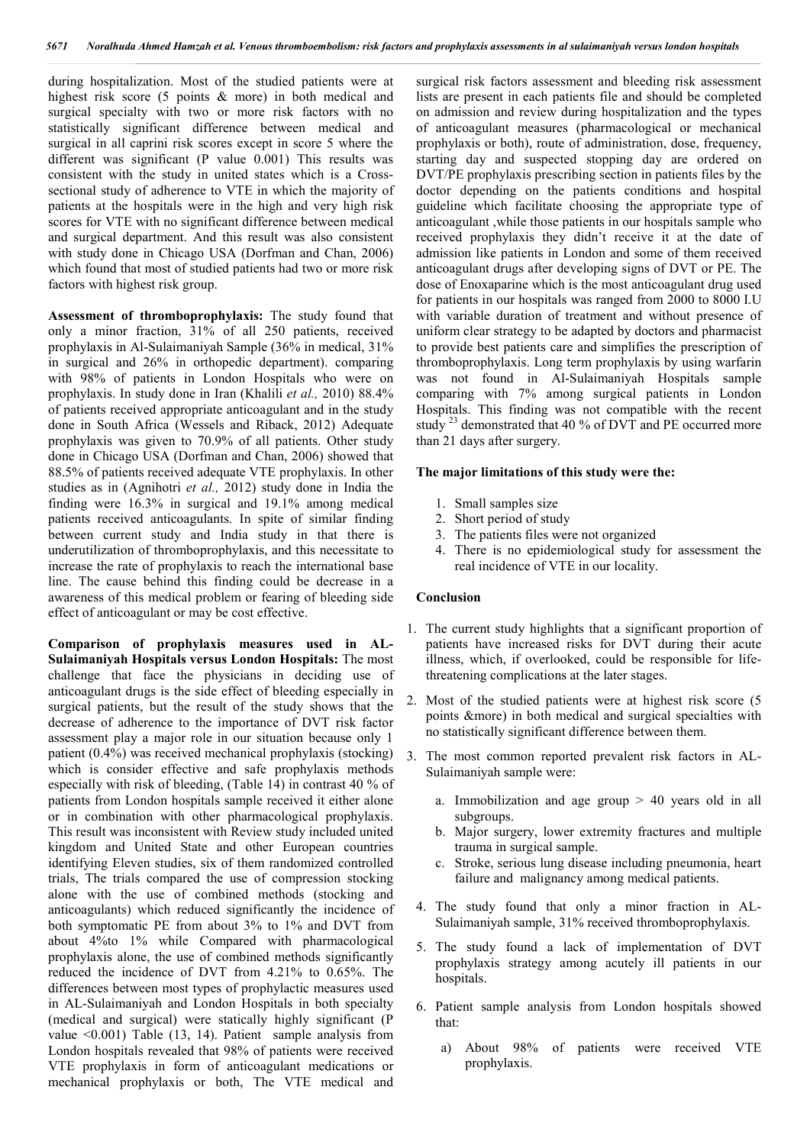during hospitalization. Most of the studied patients were at highest risk score (5 points & more) in both medical and surgical specialty with two or more risk factors with no statistically significant difference between medical and surgical in all caprini risk scores except in score 5 where the different was significant (P value 0.001) This results was consistent with the study in united states which is a Crosssectional study of adherence to VTE in which the majority of patients at the hospitals were in the high and very high risk scores for VTE with no significant difference between medical and surgical department. And this result was also consistent with study done in Chicago USA (Dorfman and Chan, 2006) which found that most of studied patients had two or more risk factors with highest risk group.

**Assessment of thromboprophylaxis:** The study found that only a minor fraction, 31% of all 250 patients, received prophylaxis in Al-Sulaimaniyah Sample (36% in medical, 31% in surgical and 26% in orthopedic department). comparing with 98% of patients in London Hospitals who were on prophylaxis. In study done in Iran (Khalili *et al.,* 2010) 88.4% of patients received appropriate anticoagulant and in the study done in South Africa (Wessels and Riback, 2012) Adequate prophylaxis was given to 70.9% of all patients. Other study done in Chicago USA (Dorfman and Chan, 2006) showed that 88.5% of patients received adequate VTE prophylaxis. In other studies as in (Agnihotri *et al.,* 2012) study done in India the finding were 16.3% in surgical and 19.1% among medical patients received anticoagulants. In spite of similar finding between current study and India study in that there is underutilization of thromboprophylaxis, and this necessitate to increase the rate of prophylaxis to reach the international base line. The cause behind this finding could be decrease in a awareness of this medical problem or fearing of bleeding side effect of anticoagulant or may be cost effective.

**Comparison of prophylaxis measures used in AL-Sulaimaniyah Hospitals versus London Hospitals:** The most challenge that face the physicians in deciding use of anticoagulant drugs is the side effect of bleeding especially in surgical patients, but the result of the study shows that the decrease of adherence to the importance of DVT risk factor assessment play a major role in our situation because only 1 patient (0.4%) was received mechanical prophylaxis (stocking) which is consider effective and safe prophylaxis methods especially with risk of bleeding, (Table 14) in contrast 40 % of patients from London hospitals sample received it either alone or in combination with other pharmacological prophylaxis. This result was inconsistent with Review study included united kingdom and United State and other European countries identifying Eleven studies, six of them randomized controlled trials, The trials compared the use of compression stocking alone with the use of combined methods (stocking and anticoagulants) which reduced significantly the incidence of both symptomatic PE from about 3% to 1% and DVT from about 4%to 1% while Compared with pharmacological prophylaxis alone, the use of combined methods significantly reduced the incidence of DVT from 4.21% to 0.65%. The differences between most types of prophylactic measures used in AL-Sulaimaniyah and London Hospitals in both specialty (medical and surgical) were statically highly significant (P value <0.001) Table (13, 14). Patient sample analysis from London hospitals revealed that 98% of patients were received VTE prophylaxis in form of anticoagulant medications or mechanical prophylaxis or both, The VTE medical and

surgical risk factors assessment and bleeding risk assessment lists are present in each patients file and should be completed on admission and review during hospitalization and the types of anticoagulant measures (pharmacological or mechanical prophylaxis or both), route of administration, dose, frequency, starting day and suspected stopping day are ordered on DVT/PE prophylaxis prescribing section in patients files by the doctor depending on the patients conditions and hospital guideline which facilitate choosing the appropriate type of anticoagulant ,while those patients in our hospitals sample who received prophylaxis they didn't receive it at the date of admission like patients in London and some of them received anticoagulant drugs after developing signs of DVT or PE. The dose of Enoxaparine which is the most anticoagulant drug used for patients in our hospitals was ranged from 2000 to 8000 I.U with variable duration of treatment and without presence of uniform clear strategy to be adapted by doctors and pharmacist to provide best patients care and simplifies the prescription of thromboprophylaxis. Long term prophylaxis by using warfarin was not found in Al-Sulaimaniyah Hospitals sample comparing with 7% among surgical patients in London Hospitals. This finding was not compatible with the recent study <sup>23</sup> demonstrated that 40 % of DVT and PE occurred more than 21 days after surgery.

#### **The major limitations of this study were the:**

- 1. Small samples size
- 2. Short period of study
- 3. The patients files were not organized
- 4. There is no epidemiological study for assessment the real incidence of VTE in our locality.

#### **Conclusion**

- 1. The current study highlights that a significant proportion of patients have increased risks for DVT during their acute illness, which, if overlooked, could be responsible for lifethreatening complications at the later stages.
- 2. Most of the studied patients were at highest risk score (5 points &more) in both medical and surgical specialties with no statistically significant difference between them.
- 3. The most common reported prevalent risk factors in AL-Sulaimaniyah sample were:
	- a. Immobilization and age group > 40 years old in all subgroups.
	- b. Major surgery, lower extremity fractures and multiple trauma in surgical sample.
	- c. Stroke, serious lung disease including pneumonia, heart failure and malignancy among medical patients.
	- 4. The study found that only a minor fraction in AL-Sulaimaniyah sample, 31% received thromboprophylaxis.
	- 5. The study found a lack of implementation of DVT prophylaxis strategy among acutely ill patients in our hospitals.
	- 6. Patient sample analysis from London hospitals showed that:
		- a) About 98% of patients were received VTE prophylaxis.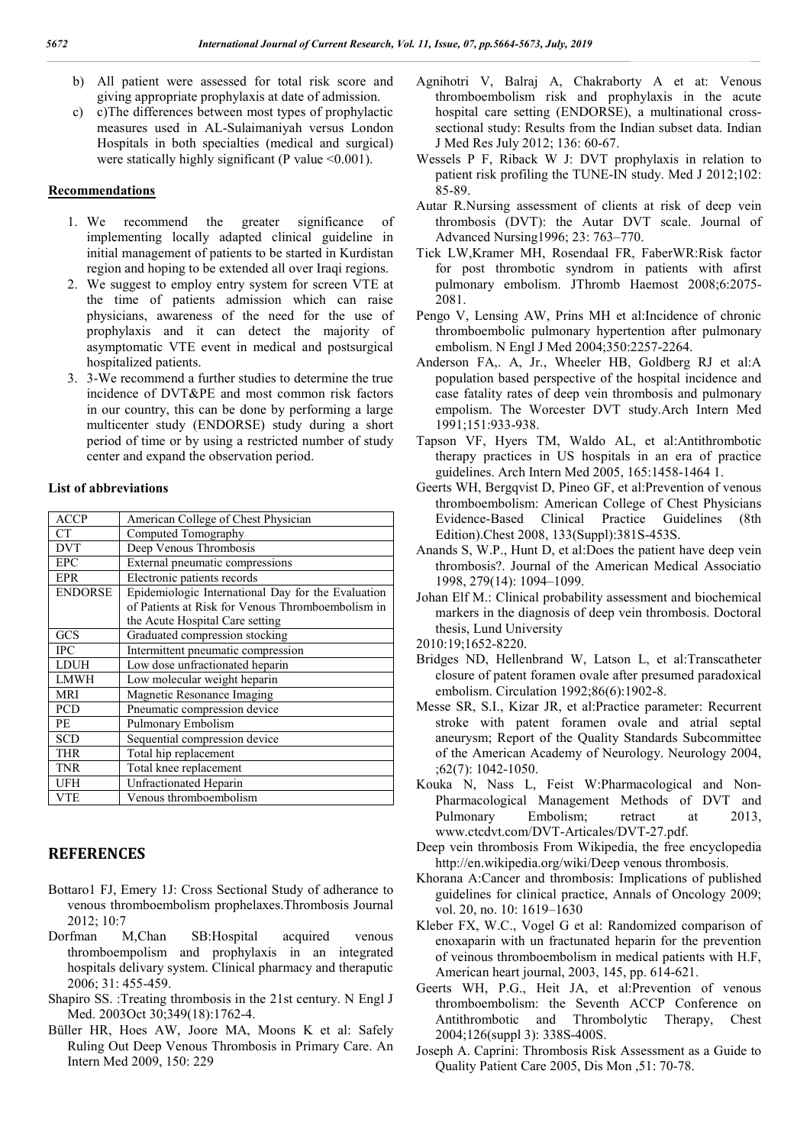- b) All patient were assessed for total risk score and giving appropriate prophylaxis at date of admission.
- c) c)The differences between most types of prophylactic measures used in AL-Sulaimaniyah versus London Hospitals in both specialties (medical and surgical) were statically highly significant (P value <0.001).

#### **Recommendations**

- 1. We recommend the greater significance of implementing locally adapted clinical guideline in initial management of patients to be started in Kurdistan region and hoping to be extended all over Iraqi regions.
- 2. We suggest to employ entry system for screen VTE at the time of patients admission which can raise physicians, awareness of the need for the use of prophylaxis and it can detect the majority of asymptomatic VTE event in medical and postsurgical hospitalized patients.
- 3. 3-We recommend a further studies to determine the true incidence of DVT&PE and most common risk factors in our country, this can be done by performing a large multicenter study (ENDORSE) study during a short period of time or by using a restricted number of study center and expand the observation period.

#### **List of abbreviations**

| <b>ACCP</b>    | American College of Chest Physician                                                                                                        |  |
|----------------|--------------------------------------------------------------------------------------------------------------------------------------------|--|
| <b>CT</b>      | Computed Tomography                                                                                                                        |  |
| <b>DVT</b>     | Deep Venous Thrombosis                                                                                                                     |  |
| <b>EPC</b>     | External pneumatic compressions                                                                                                            |  |
| <b>EPR</b>     | Electronic patients records                                                                                                                |  |
| <b>ENDORSE</b> | Epidemiologic International Day for the Evaluation<br>of Patients at Risk for Venous Thromboembolism in<br>the Acute Hospital Care setting |  |
| GCS            | Graduated compression stocking                                                                                                             |  |
| <b>IPC</b>     | Intermittent pneumatic compression                                                                                                         |  |
| <b>LDUH</b>    | Low dose unfractionated heparin                                                                                                            |  |
| <b>LMWH</b>    | Low molecular weight heparin                                                                                                               |  |
| <b>MRI</b>     | Magnetic Resonance Imaging                                                                                                                 |  |
| <b>PCD</b>     | Pneumatic compression device                                                                                                               |  |
| PE             | Pulmonary Embolism                                                                                                                         |  |
| <b>SCD</b>     | Sequential compression device                                                                                                              |  |
| <b>THR</b>     | Total hip replacement                                                                                                                      |  |
| <b>TNR</b>     | Total knee replacement                                                                                                                     |  |
| <b>UFH</b>     | Unfractionated Heparin                                                                                                                     |  |
| <b>VTE</b>     | Venous thromboembolism                                                                                                                     |  |

### **REFERENCES**

- Bottaro1 FJ, Emery 1J: Cross Sectional Study of adherance to venous thromboembolism prophelaxes.Thrombosis Journal  $2012:10.7$
- Dorfman M,Chan SB:Hospital acquired venous thromboempolism and prophylaxis in an integrated hospitals delivary system. Clinical pharmacy and theraputic 2006; 31: 455-459.
- Shapiro SS. :Treating thrombosis in the 21st century. N Engl J Med. 2003Oct 30;349(18):1762-4.
- Büller HR, Hoes AW, Joore MA, Moons K et al: Safely Ruling Out Deep Venous Thrombosis in Primary Care. An Intern Med 2009, 150: 229
- Agnihotri V, Balraj A, Chakraborty A et at: Venous thromboembolism risk and prophylaxis in the acute hospital care setting (ENDORSE), a multinational crosssectional study: Results from the Indian subset data. Indian J Med Res July 2012; 136: 60-67.
- Wessels P F, Riback W J: DVT prophylaxis in relation to patient risk profiling the TUNE-IN study. Med J 2012;102: 85-89.
- Autar R.Nursing assessment of clients at risk of deep vein thrombosis (DVT): the Autar DVT scale. Journal of Advanced Nursing1996; 23: 763–770.
- Tick LW,Kramer MH, Rosendaal FR, FaberWR:Risk factor for post thrombotic syndrom in patients with afirst pulmonary embolism. JThromb Haemost 2008;6:2075- 2081.
- Pengo V, Lensing AW, Prins MH et al:Incidence of chronic thromboembolic pulmonary hypertention after pulmonary embolism. N Engl J Med 2004;350:2257-2264.
- Anderson FA,. A, Jr., Wheeler HB, Goldberg RJ et al:A population based perspective of the hospital incidence and case fatality rates of deep vein thrombosis and pulmonary empolism. The Worcester DVT study.Arch Intern Med 1991;151:933-938.
- Tapson VF, Hyers TM, Waldo AL, et al:Antithrombotic therapy practices in US hospitals in an era of practice guidelines. Arch Intern Med 2005, 165:1458-1464 1.
- Geerts WH, Bergqvist D, Pineo GF, et al:Prevention of venous thromboembolism: American College of Chest Physicians Evidence-Based Clinical Practice Guidelines (8th Edition).Chest 2008, 133(Suppl):381S-453S.
- Anands S, W.P., Hunt D, et al:Does the patient have deep vein thrombosis?. Journal of the American Medical Associatio 1998, 279(14): 1094–1099.
- Johan Elf M.: Clinical probability assessment and biochemical markers in the diagnosis of deep vein thrombosis. Doctoral thesis, Lund University

2010:19;1652-8220.

- Bridges ND, Hellenbrand W, Latson L, et al:Transcatheter closure of patent foramen ovale after presumed paradoxical embolism. Circulation 1992;86(6):1902-8.
- Messe SR, S.I., Kizar JR, et al:Practice parameter: Recurrent stroke with patent foramen ovale and atrial septal aneurysm; Report of the Quality Standards Subcommittee of the American Academy of Neurology. Neurology 2004, ;62(7): 1042-1050.
- Kouka N, Nass L, Feist W:Pharmacological and Non-Pharmacological Management Methods of DVT and Pulmonary Embolism; retract at 2013, www.ctcdvt.com/DVT-Articales/DVT-27.pdf.
- Deep vein thrombosis From Wikipedia, the free encyclopedia http://en.wikipedia.org/wiki/Deep venous thrombosis.
- Khorana A:Cancer and thrombosis: Implications of published guidelines for clinical practice, Annals of Oncology 2009; vol. 20, no. 10: 1619–1630
- Kleber FX, W.C., Vogel G et al: Randomized comparison of enoxaparin with un fractunated heparin for the prevention of veinous thromboembolism in medical patients with H.F, American heart journal, 2003, 145, pp. 614-621.
- Geerts WH, P.G., Heit JA, et al:Prevention of venous thromboembolism: the Seventh ACCP Conference on Antithrombotic and Thrombolytic Therapy, Chest 2004;126(suppl 3): 338S-400S.
- Joseph A. Caprini: Thrombosis Risk Assessment as a Guide to Quality Patient Care 2005, Dis Mon ,51: 70-78.